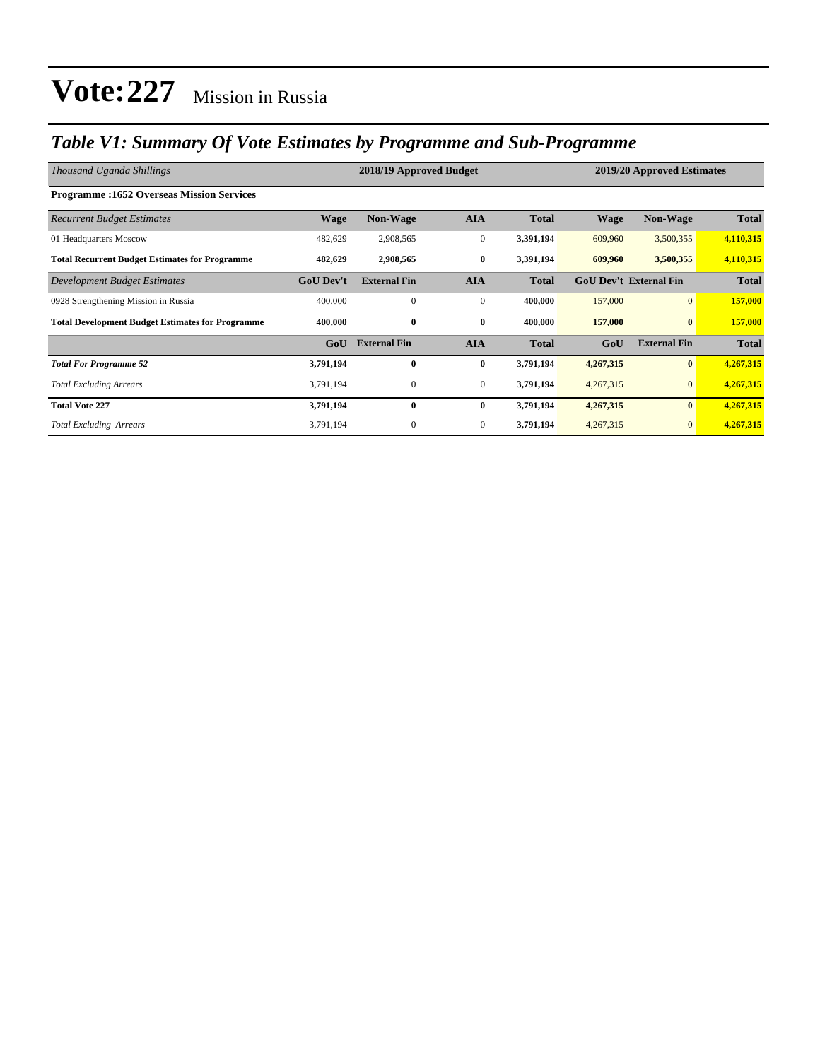### *Table V1: Summary Of Vote Estimates by Programme and Sub-Programme*

| Thousand Uganda Shillings                               |                  | 2018/19 Approved Budget | 2019/20 Approved Estimates |              |                               |                     |              |
|---------------------------------------------------------|------------------|-------------------------|----------------------------|--------------|-------------------------------|---------------------|--------------|
| <b>Programme:1652 Overseas Mission Services</b>         |                  |                         |                            |              |                               |                     |              |
| <b>Recurrent Budget Estimates</b>                       | <b>Wage</b>      | <b>Non-Wage</b>         | <b>AIA</b>                 | <b>Total</b> | <b>Wage</b>                   | <b>Non-Wage</b>     | <b>Total</b> |
| 01 Headquarters Moscow                                  | 482,629          | 2,908,565               | $\boldsymbol{0}$           | 3,391,194    | 609,960                       | 3,500,355           | 4,110,315    |
| <b>Total Recurrent Budget Estimates for Programme</b>   | 482,629          | 2,908,565               | $\bf{0}$                   | 3,391,194    | 609,960                       | 3,500,355           | 4,110,315    |
| Development Budget Estimates                            | <b>GoU</b> Dev't | <b>External Fin</b>     | <b>AIA</b>                 | <b>Total</b> | <b>GoU Dev't External Fin</b> |                     | <b>Total</b> |
| 0928 Strengthening Mission in Russia                    | 400,000          | $\mathbf{0}$            | $\mathbf{0}$               | 400,000      | 157,000                       | $\overline{0}$      | 157,000      |
| <b>Total Development Budget Estimates for Programme</b> | 400,000          | $\bf{0}$                | $\bf{0}$                   | 400,000      | 157,000                       | $\bf{0}$            | 157,000      |
|                                                         | GoU              | <b>External Fin</b>     | <b>AIA</b>                 | <b>Total</b> | GoU                           | <b>External Fin</b> | <b>Total</b> |
| <b>Total For Programme 52</b>                           | 3,791,194        | $\bf{0}$                | $\bf{0}$                   | 3,791,194    | 4,267,315                     | $\bf{0}$            | 4,267,315    |
| <b>Total Excluding Arrears</b>                          | 3,791,194        | $\boldsymbol{0}$        | $\mathbf{0}$               | 3,791,194    | 4,267,315                     | $\mathbf{0}$        | 4,267,315    |
| <b>Total Vote 227</b>                                   | 3,791,194        | $\bf{0}$                | $\bf{0}$                   | 3,791,194    | 4,267,315                     | $\bf{0}$            | 4,267,315    |
| <b>Total Excluding Arrears</b>                          | 3,791,194        | $\mathbf{0}$            | $\mathbf{0}$               | 3,791,194    | 4,267,315                     | $\overline{0}$      | 4,267,315    |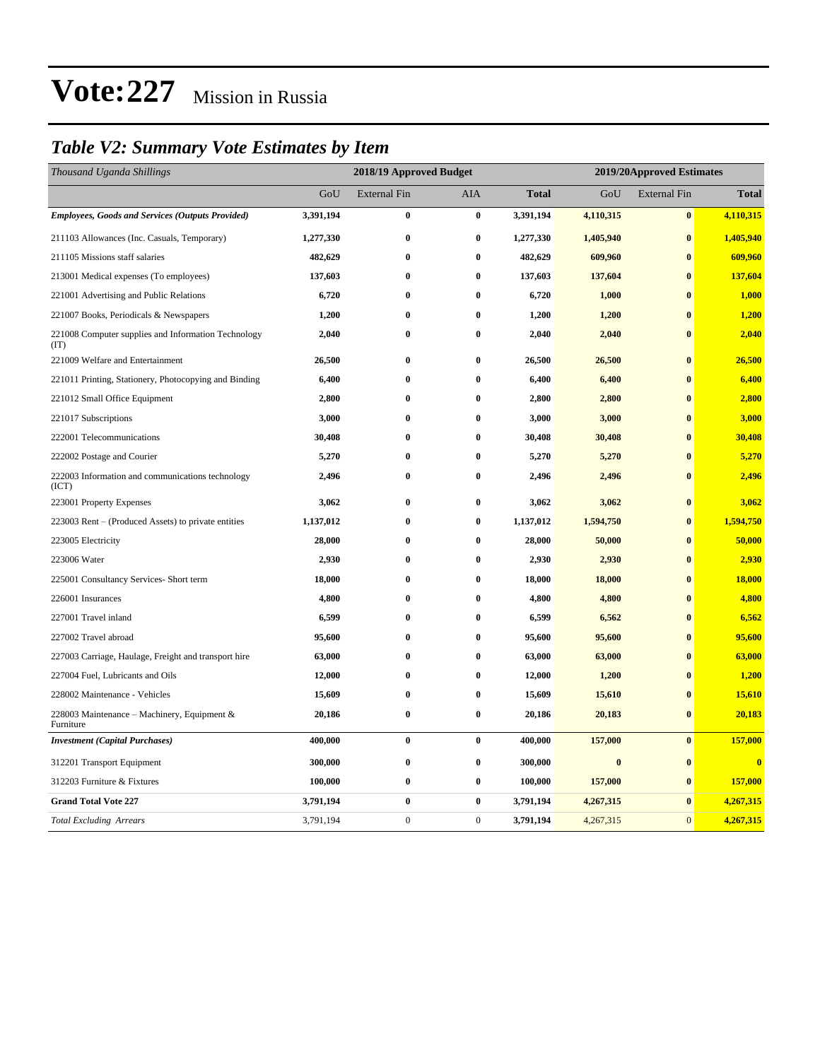### *Table V2: Summary Vote Estimates by Item*

| Thousand Uganda Shillings                                   | 2018/19 Approved Budget |                     |              |              | 2019/20Approved Estimates |                     |              |  |
|-------------------------------------------------------------|-------------------------|---------------------|--------------|--------------|---------------------------|---------------------|--------------|--|
|                                                             | GoU                     | <b>External Fin</b> | AIA          | <b>Total</b> | GoU                       | <b>External Fin</b> | <b>Total</b> |  |
| <b>Employees, Goods and Services (Outputs Provided)</b>     | 3,391,194               | $\bf{0}$            | $\bf{0}$     | 3,391,194    | 4,110,315                 | $\bf{0}$            | 4,110,315    |  |
| 211103 Allowances (Inc. Casuals, Temporary)                 | 1,277,330               | $\boldsymbol{0}$    | $\bf{0}$     | 1,277,330    | 1,405,940                 | $\bf{0}$            | 1,405,940    |  |
| 211105 Missions staff salaries                              | 482,629                 | $\bf{0}$            | $\bf{0}$     | 482,629      | 609,960                   | $\bf{0}$            | 609,960      |  |
| 213001 Medical expenses (To employees)                      | 137,603                 | $\bf{0}$            | $\bf{0}$     | 137,603      | 137,604                   | $\bf{0}$            | 137,604      |  |
| 221001 Advertising and Public Relations                     | 6,720                   | $\bf{0}$            | $\bf{0}$     | 6,720        | 1,000                     | $\bf{0}$            | 1,000        |  |
| 221007 Books, Periodicals & Newspapers                      | 1,200                   | $\bf{0}$            | $\bf{0}$     | 1,200        | 1,200                     | $\bf{0}$            | 1,200        |  |
| 221008 Computer supplies and Information Technology<br>(TT) | 2,040                   | $\bf{0}$            | $\bf{0}$     | 2,040        | 2,040                     | $\bf{0}$            | 2,040        |  |
| 221009 Welfare and Entertainment                            | 26,500                  | $\bf{0}$            | $\bf{0}$     | 26,500       | 26,500                    | $\bf{0}$            | 26,500       |  |
| 221011 Printing, Stationery, Photocopying and Binding       | 6,400                   | $\bf{0}$            | $\bf{0}$     | 6,400        | 6,400                     | $\bf{0}$            | 6,400        |  |
| 221012 Small Office Equipment                               | 2,800                   | $\bf{0}$            | $\bf{0}$     | 2,800        | 2,800                     | $\bf{0}$            | 2,800        |  |
| 221017 Subscriptions                                        | 3,000                   | $\bf{0}$            | $\bf{0}$     | 3,000        | 3,000                     | $\bf{0}$            | 3,000        |  |
| 222001 Telecommunications                                   | 30,408                  | $\bf{0}$            | $\bf{0}$     | 30,408       | 30,408                    | $\bf{0}$            | 30,408       |  |
| 222002 Postage and Courier                                  | 5,270                   | $\bf{0}$            | $\bf{0}$     | 5,270        | 5,270                     | $\bf{0}$            | 5,270        |  |
| 222003 Information and communications technology<br>(ICT)   | 2,496                   | $\bf{0}$            | $\bf{0}$     | 2,496        | 2,496                     | $\bf{0}$            | 2,496        |  |
| 223001 Property Expenses                                    | 3,062                   | $\bf{0}$            | $\bf{0}$     | 3,062        | 3,062                     | $\bf{0}$            | 3,062        |  |
| 223003 Rent – (Produced Assets) to private entities         | 1,137,012               | $\bf{0}$            | $\bf{0}$     | 1,137,012    | 1,594,750                 | $\bf{0}$            | 1,594,750    |  |
| 223005 Electricity                                          | 28,000                  | $\bf{0}$            | $\bf{0}$     | 28,000       | 50,000                    | $\bf{0}$            | 50,000       |  |
| 223006 Water                                                | 2,930                   | $\bf{0}$            | $\bf{0}$     | 2,930        | 2,930                     | $\bf{0}$            | 2,930        |  |
| 225001 Consultancy Services- Short term                     | 18,000                  | $\bf{0}$            | $\bf{0}$     | 18,000       | 18,000                    | $\bf{0}$            | 18,000       |  |
| 226001 Insurances                                           | 4,800                   | $\bf{0}$            | $\bf{0}$     | 4,800        | 4,800                     | $\bf{0}$            | 4,800        |  |
| 227001 Travel inland                                        | 6,599                   | $\bf{0}$            | $\bf{0}$     | 6,599        | 6,562                     | $\bf{0}$            | 6,562        |  |
| 227002 Travel abroad                                        | 95,600                  | $\bf{0}$            | $\bf{0}$     | 95,600       | 95,600                    | $\bf{0}$            | 95,600       |  |
| 227003 Carriage, Haulage, Freight and transport hire        | 63,000                  | $\bf{0}$            | $\bf{0}$     | 63,000       | 63,000                    | $\bf{0}$            | 63,000       |  |
| 227004 Fuel, Lubricants and Oils                            | 12,000                  | $\bf{0}$            | $\bf{0}$     | 12,000       | 1,200                     | $\bf{0}$            | 1,200        |  |
| 228002 Maintenance - Vehicles                               | 15,609                  | $\bf{0}$            | $\bf{0}$     | 15,609       | 15,610                    | $\bf{0}$            | 15,610       |  |
| 228003 Maintenance - Machinery, Equipment &<br>Furniture    | 20,186                  | $\bf{0}$            | $\bf{0}$     | 20,186       | 20,183                    | $\bf{0}$            | 20,183       |  |
| <b>Investment</b> (Capital Purchases)                       | 400,000                 | $\bf{0}$            | $\bf{0}$     | 400,000      | 157,000                   | $\bf{0}$            | 157,000      |  |
| 312201 Transport Equipment                                  | 300,000                 | $\bf{0}$            | $\bf{0}$     | 300,000      | $\bf{0}$                  | $\bf{0}$            | $\mathbf{0}$ |  |
| 312203 Furniture & Fixtures                                 | 100,000                 | 0                   | $\bf{0}$     | 100,000      | 157,000                   | $\bf{0}$            | 157,000      |  |
| <b>Grand Total Vote 227</b>                                 | 3,791,194               | $\bf{0}$            | $\bf{0}$     | 3,791,194    | 4,267,315                 | $\bf{0}$            | 4,267,315    |  |
| <b>Total Excluding Arrears</b>                              | 3,791,194               | $\boldsymbol{0}$    | $\mathbf{0}$ | 3,791,194    | 4,267,315                 | $\mathbf{0}$        | 4,267,315    |  |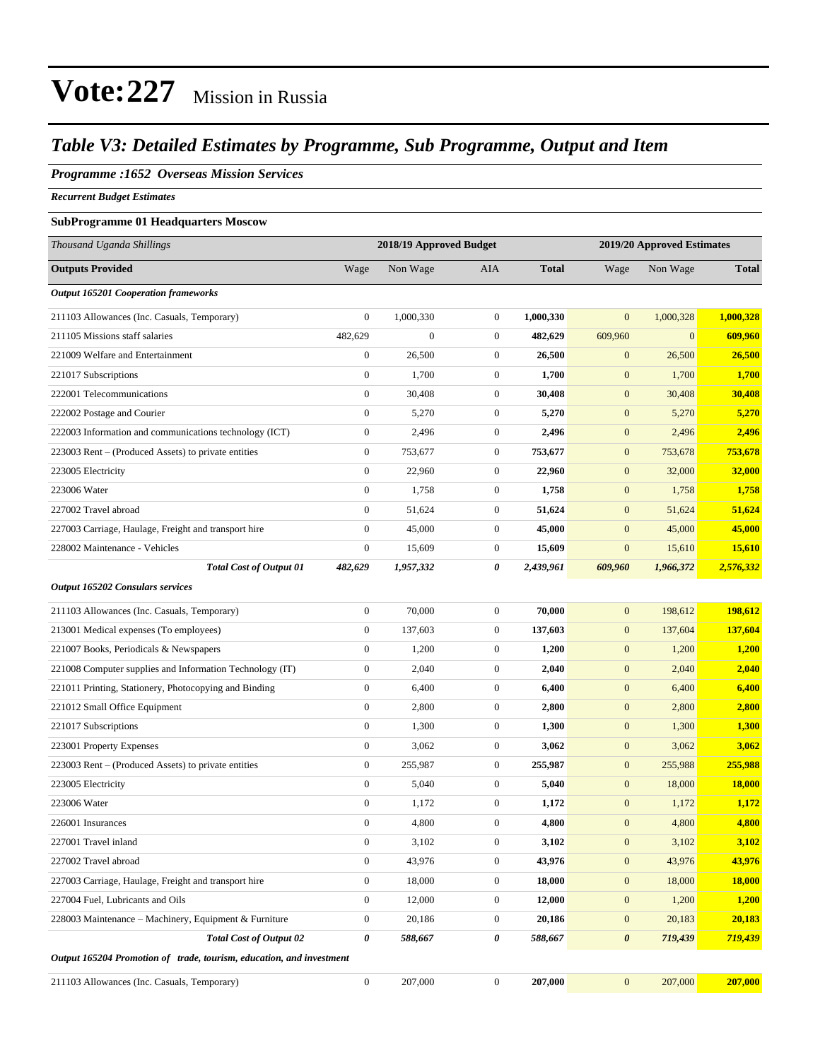#### *Table V3: Detailed Estimates by Programme, Sub Programme, Output and Item*

#### *Programme :1652 Overseas Mission Services*

*Recurrent Budget Estimates*

#### **SubProgramme 01 Headquarters Moscow**

| Thousand Uganda Shillings                                            | 2018/19 Approved Budget |                  |                  | 2019/20 Approved Estimates |                  |              |              |
|----------------------------------------------------------------------|-------------------------|------------------|------------------|----------------------------|------------------|--------------|--------------|
| <b>Outputs Provided</b>                                              | Wage                    | Non Wage         | AIA              | <b>Total</b>               | Wage             | Non Wage     | <b>Total</b> |
| <b>Output 165201 Cooperation frameworks</b>                          |                         |                  |                  |                            |                  |              |              |
| 211103 Allowances (Inc. Casuals, Temporary)                          | $\theta$                | 1,000,330        | $\mathbf{0}$     | 1,000,330                  | $\mathbf{0}$     | 1,000,328    | 1,000,328    |
| 211105 Missions staff salaries                                       | 482,629                 | $\boldsymbol{0}$ | $\mathbf{0}$     | 482,629                    | 609,960          | $\mathbf{0}$ | 609,960      |
| 221009 Welfare and Entertainment                                     | $\boldsymbol{0}$        | 26,500           | $\boldsymbol{0}$ | 26,500                     | $\boldsymbol{0}$ | 26,500       | 26,500       |
| 221017 Subscriptions                                                 | $\mathbf{0}$            | 1,700            | $\mathbf{0}$     | 1,700                      | $\mathbf{0}$     | 1,700        | <b>1,700</b> |
| 222001 Telecommunications                                            | $\boldsymbol{0}$        | 30,408           | $\boldsymbol{0}$ | 30,408                     | $\mathbf{0}$     | 30,408       | 30,408       |
| 222002 Postage and Courier                                           | $\boldsymbol{0}$        | 5,270            | $\boldsymbol{0}$ | 5,270                      | $\mathbf{0}$     | 5,270        | 5,270        |
| 222003 Information and communications technology (ICT)               | $\mathbf{0}$            | 2,496            | $\boldsymbol{0}$ | 2,496                      | $\mathbf{0}$     | 2,496        | 2,496        |
| 223003 Rent - (Produced Assets) to private entities                  | $\boldsymbol{0}$        | 753,677          | $\boldsymbol{0}$ | 753,677                    | $\mathbf{0}$     | 753,678      | 753,678      |
| 223005 Electricity                                                   | $\mathbf{0}$            | 22,960           | $\mathbf{0}$     | 22,960                     | $\boldsymbol{0}$ | 32,000       | 32,000       |
| 223006 Water                                                         | $\boldsymbol{0}$        | 1,758            | $\boldsymbol{0}$ | 1,758                      | $\mathbf{0}$     | 1,758        | 1,758        |
| 227002 Travel abroad                                                 | $\boldsymbol{0}$        | 51,624           | $\boldsymbol{0}$ | 51,624                     | $\mathbf{0}$     | 51,624       | 51,624       |
| 227003 Carriage, Haulage, Freight and transport hire                 | $\theta$                | 45,000           | $\mathbf{0}$     | 45,000                     | $\mathbf{0}$     | 45,000       | 45,000       |
| 228002 Maintenance - Vehicles                                        | $\boldsymbol{0}$        | 15,609           | $\boldsymbol{0}$ | 15,609                     | $\boldsymbol{0}$ | 15,610       | 15,610       |
| <b>Total Cost of Output 01</b>                                       | 482,629                 | 1,957,332        | 0                | 2,439,961                  | 609,960          | 1,966,372    | 2,576,332    |
| <b>Output 165202 Consulars services</b>                              |                         |                  |                  |                            |                  |              |              |
| 211103 Allowances (Inc. Casuals, Temporary)                          | $\boldsymbol{0}$        | 70,000           | $\boldsymbol{0}$ | 70,000                     | $\mathbf{0}$     | 198,612      | 198,612      |
| 213001 Medical expenses (To employees)                               | $\boldsymbol{0}$        | 137,603          | $\boldsymbol{0}$ | 137,603                    | $\mathbf{0}$     | 137,604      | 137,604      |
| 221007 Books, Periodicals & Newspapers                               | $\mathbf{0}$            | 1,200            | $\mathbf{0}$     | 1,200                      | $\mathbf{0}$     | 1,200        | 1,200        |
| 221008 Computer supplies and Information Technology (IT)             | $\boldsymbol{0}$        | 2,040            | $\boldsymbol{0}$ | 2,040                      | $\mathbf{0}$     | 2,040        | 2,040        |
| 221011 Printing, Stationery, Photocopying and Binding                | $\mathbf{0}$            | 6,400            | $\boldsymbol{0}$ | 6,400                      | $\mathbf{0}$     | 6,400        | 6,400        |
| 221012 Small Office Equipment                                        | $\boldsymbol{0}$        | 2,800            | $\boldsymbol{0}$ | 2,800                      | $\mathbf{0}$     | 2,800        | 2,800        |
| 221017 Subscriptions                                                 | $\boldsymbol{0}$        | 1,300            | $\boldsymbol{0}$ | 1,300                      | $\boldsymbol{0}$ | 1,300        | 1,300        |
| 223001 Property Expenses                                             | $\mathbf{0}$            | 3,062            | $\mathbf{0}$     | 3,062                      | $\mathbf{0}$     | 3,062        | 3,062        |
| 223003 Rent – (Produced Assets) to private entities                  | $\mathbf{0}$            | 255,987          | $\boldsymbol{0}$ | 255,987                    | $\mathbf{0}$     | 255,988      | 255,988      |
| 223005 Electricity                                                   | $\theta$                | 5,040            | $\mathbf{0}$     | 5,040                      | $\mathbf{0}$     | 18,000       | 18,000       |
| 223006 Water                                                         | $\boldsymbol{0}$        | 1,172            | 0                | 1,172                      | $\mathbf{0}$     | 1,172        | 1,172        |
| 226001 Insurances                                                    | $\boldsymbol{0}$        | 4,800            | $\boldsymbol{0}$ | 4,800                      | $\mathbf{0}$     | 4,800        | 4,800        |
| 227001 Travel inland                                                 | $\boldsymbol{0}$        | 3,102            | $\boldsymbol{0}$ | 3,102                      | $\boldsymbol{0}$ | 3,102        | 3,102        |
| 227002 Travel abroad                                                 | $\boldsymbol{0}$        | 43,976           | $\boldsymbol{0}$ | 43,976                     | $\mathbf{0}$     | 43,976       | 43,976       |
| 227003 Carriage, Haulage, Freight and transport hire                 | $\boldsymbol{0}$        | 18,000           | $\boldsymbol{0}$ | 18,000                     | $\boldsymbol{0}$ | 18,000       | 18,000       |
| 227004 Fuel, Lubricants and Oils                                     | $\mathbf{0}$            | 12,000           | $\boldsymbol{0}$ | 12,000                     | $\boldsymbol{0}$ | 1,200        | 1,200        |
| 228003 Maintenance – Machinery, Equipment & Furniture                | $\boldsymbol{0}$        | 20,186           | $\boldsymbol{0}$ | 20,186                     | $\boldsymbol{0}$ | 20,183       | 20,183       |
| <b>Total Cost of Output 02</b>                                       | 0                       | 588,667          | 0                | 588,667                    | $\pmb{\theta}$   | 719,439      | 719,439      |
| Output 165204 Promotion of trade, tourism, education, and investment |                         |                  |                  |                            |                  |              |              |
| 211103 Allowances (Inc. Casuals, Temporary)                          | $\boldsymbol{0}$        | 207,000          | $\boldsymbol{0}$ | 207,000                    | $\boldsymbol{0}$ | 207,000      | 207,000      |
|                                                                      |                         |                  |                  |                            |                  |              |              |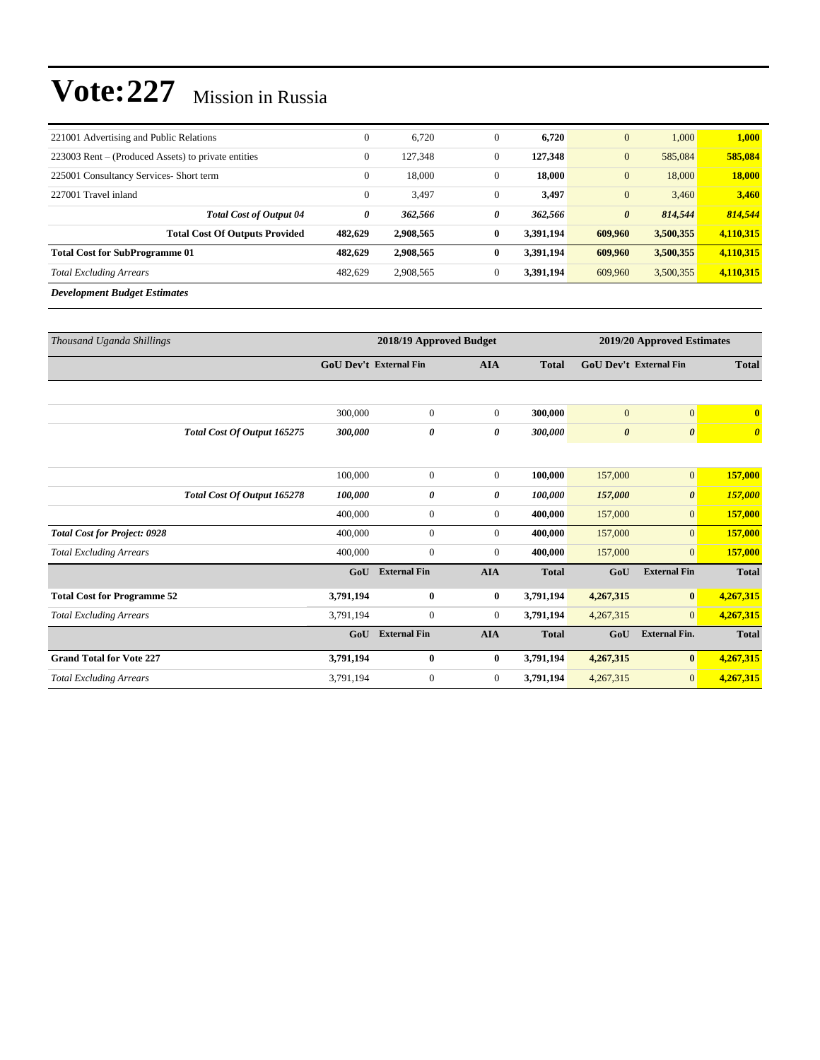| 221001 Advertising and Public Relations             | $\mathbf{0}$ | 6,720     | $\mathbf{0}$ | 6,720     | $\mathbf{0}$          | 1,000     | 1,000     |
|-----------------------------------------------------|--------------|-----------|--------------|-----------|-----------------------|-----------|-----------|
| 223003 Rent – (Produced Assets) to private entities | $\mathbf{0}$ | 127,348   | $\mathbf{0}$ | 127,348   | $\mathbf{0}$          | 585,084   | 585,084   |
| 225001 Consultancy Services- Short term             | $\mathbf{0}$ | 18,000    | $\mathbf{0}$ | 18,000    | $\mathbf{0}$          | 18,000    | 18,000    |
| 227001 Travel inland                                | $\mathbf{0}$ | 3,497     | $\mathbf{0}$ | 3,497     | $\mathbf{0}$          | 3,460     | 3,460     |
| <b>Total Cost of Output 04</b>                      | 0            | 362,566   | 0            | 362,566   | $\boldsymbol{\theta}$ | 814,544   | 814.544   |
| <b>Total Cost Of Outputs Provided</b>               | 482.629      | 2,908,565 | 0            | 3.391.194 | 609.960               | 3,500,355 | 4,110,315 |
| <b>Total Cost for SubProgramme 01</b>               | 482.629      | 2,908,565 | 0            | 3.391.194 | 609,960               | 3,500,355 | 4,110,315 |
| <b>Total Excluding Arrears</b>                      | 482,629      | 2,908,565 | $\Omega$     | 3.391.194 | 609,960               | 3,500,355 | 4,110,315 |
| <b>Development Budget Estimates</b>                 |              |           |              |           |                       |           |           |

| Thousand Uganda Shillings           |                             | 2018/19 Approved Budget |                     |                |              |                               | 2019/20 Approved Estimates |                       |  |  |
|-------------------------------------|-----------------------------|-------------------------|---------------------|----------------|--------------|-------------------------------|----------------------------|-----------------------|--|--|
|                                     |                             | GoU Dev't External Fin  |                     | <b>AIA</b>     | <b>Total</b> | <b>GoU Dev't External Fin</b> |                            | <b>Total</b>          |  |  |
|                                     |                             |                         |                     |                |              |                               |                            |                       |  |  |
|                                     |                             | 300,000                 | $\boldsymbol{0}$    | $\overline{0}$ | 300,000      | $\mathbf{0}$                  | $\mathbf{0}$               | $\mathbf{0}$          |  |  |
|                                     | Total Cost Of Output 165275 | 300,000                 | 0                   | 0              | 300,000      | $\boldsymbol{\theta}$         | $\boldsymbol{\theta}$      | $\boldsymbol{\theta}$ |  |  |
|                                     |                             |                         |                     |                |              |                               |                            |                       |  |  |
|                                     |                             | 100,000                 | $\boldsymbol{0}$    | $\overline{0}$ | 100,000      | 157,000                       | $\mathbf{0}$               | 157,000               |  |  |
|                                     | Total Cost Of Output 165278 | 100,000                 | 0                   | 0              | 100,000      | 157,000                       | $\boldsymbol{\theta}$      | 157,000               |  |  |
|                                     |                             | 400,000                 | $\boldsymbol{0}$    | $\overline{0}$ | 400,000      | 157,000                       | $\mathbf{0}$               | 157,000               |  |  |
| <b>Total Cost for Project: 0928</b> |                             | 400,000                 | $\mathbf{0}$        | $\overline{0}$ | 400,000      | 157,000                       | $\overline{0}$             | 157,000               |  |  |
| <b>Total Excluding Arrears</b>      |                             | 400,000                 | $\mathbf{0}$        | $\Omega$       | 400,000      | 157,000                       | $\mathbf{0}$               | 157,000               |  |  |
|                                     |                             | GoU                     | <b>External Fin</b> | <b>AIA</b>     | <b>Total</b> | GoU                           | <b>External Fin</b>        | <b>Total</b>          |  |  |
| <b>Total Cost for Programme 52</b>  |                             | 3,791,194               | $\bf{0}$            | $\bf{0}$       | 3,791,194    | 4,267,315                     | $\bf{0}$                   | 4,267,315             |  |  |
| <b>Total Excluding Arrears</b>      |                             | 3,791,194               | $\boldsymbol{0}$    | $\overline{0}$ | 3,791,194    | 4,267,315                     | $\overline{0}$             | 4,267,315             |  |  |
|                                     |                             | GoU                     | <b>External Fin</b> | <b>AIA</b>     | <b>Total</b> | GoU                           | <b>External Fin.</b>       | <b>Total</b>          |  |  |
| <b>Grand Total for Vote 227</b>     |                             | 3,791,194               | $\bf{0}$            | $\bf{0}$       | 3,791,194    | 4,267,315                     | $\bf{0}$                   | 4,267,315             |  |  |
| <b>Total Excluding Arrears</b>      |                             | 3,791,194               | $\mathbf{0}$        | $\overline{0}$ | 3,791,194    | 4,267,315                     | $\mathbf{0}$               | 4,267,315             |  |  |